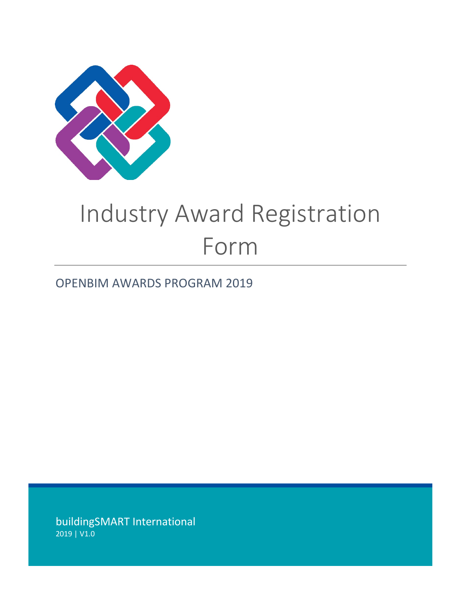

# Industry Award Registration Form

# OPENBIM AWARDS PROGRAM 2019

buildingSMART International 2019 | V1.0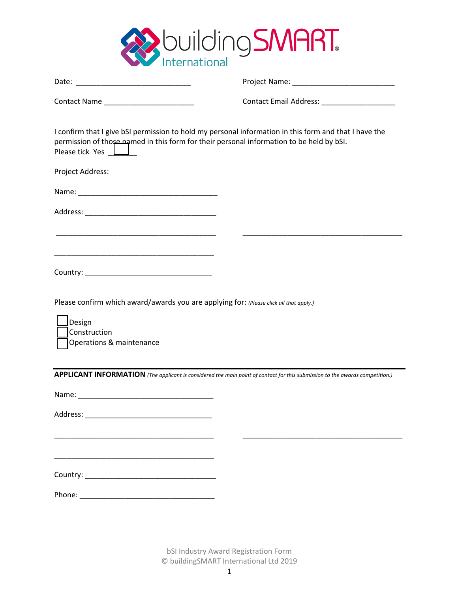

| Contact Name _______________________                                                                                                         | Contact Email Address: National Address:                                                                                     |
|----------------------------------------------------------------------------------------------------------------------------------------------|------------------------------------------------------------------------------------------------------------------------------|
| permission of those named in this form for their personal information to be held by bSI.<br>Please tick Yes <b>Letter</b>                    | I confirm that I give bSI permission to hold my personal information in this form and that I have the                        |
| Project Address:                                                                                                                             |                                                                                                                              |
|                                                                                                                                              |                                                                                                                              |
|                                                                                                                                              |                                                                                                                              |
| <u> 1989 - Johann John Stoff, deutscher Stoffen und der Stoffen und der Stoffen und der Stoffen und der Stoffen u</u>                        |                                                                                                                              |
| <u> 1989 - Johann John Stone, mars and de final and de final and design and design and design and design and des</u>                         |                                                                                                                              |
|                                                                                                                                              |                                                                                                                              |
| Please confirm which award/awards you are applying for: (Please click all that apply.)<br>Design<br>Construction<br>Operations & maintenance |                                                                                                                              |
|                                                                                                                                              | APPLICANT INFORMATION (The applicant is considered the main point of contact for this submission to the awards competition.) |
|                                                                                                                                              |                                                                                                                              |
|                                                                                                                                              |                                                                                                                              |
|                                                                                                                                              |                                                                                                                              |
|                                                                                                                                              |                                                                                                                              |
|                                                                                                                                              |                                                                                                                              |
|                                                                                                                                              |                                                                                                                              |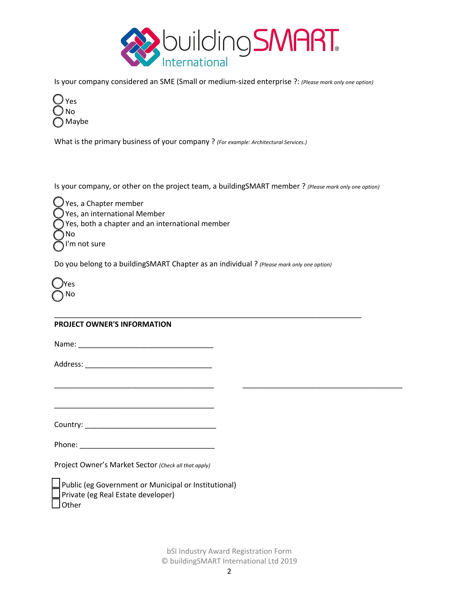

Is your company considered an SME (Small or medium-sized enterprise ?: *(Please mark only one option)*



What is the primary business of your company ? *(For example: Architectural Services.)*

Is your company, or other on the project team, a buildingSMART member ? *(Please mark only one option)*

 $\bigcup$  Yes, a Chapter member Yes, an international Member Yes, both a chapter and an international member No I'm not sure

Do you belong to a buildingSMART Chapter as an individual ? *(Please mark only one option)*

\_\_\_\_\_\_\_\_\_\_\_\_\_\_\_\_\_\_\_\_\_\_\_\_\_\_\_\_\_\_\_\_\_\_\_\_\_\_\_\_\_\_\_\_\_\_\_\_\_\_\_\_\_\_\_\_\_\_\_\_\_\_\_\_\_\_\_\_\_\_\_\_\_\_\_

\_\_\_\_\_\_\_\_\_\_\_\_\_\_\_\_\_\_\_\_\_\_\_\_\_\_\_\_\_\_\_\_\_\_\_\_\_\_\_ \_\_\_\_\_\_\_\_\_\_\_\_\_\_\_\_\_\_\_\_\_\_\_\_\_\_\_\_\_\_\_\_\_\_\_\_\_\_\_

| I | JYes    |
|---|---------|
| Í | No<br>L |

#### **PROJECT OWNER'S INFORMATION**

Name: \_\_\_\_\_\_\_\_\_\_\_\_\_\_\_\_\_\_\_\_\_\_\_\_\_\_\_\_\_\_\_\_\_

Address: \_\_\_\_\_\_\_\_\_\_\_\_\_\_\_\_\_\_\_\_\_\_\_\_\_\_\_\_\_\_\_

Country: \_\_\_\_\_\_\_\_\_\_\_\_\_\_\_\_\_\_\_\_\_\_\_\_\_\_\_\_\_\_\_\_

\_\_\_\_\_\_\_\_\_\_\_\_\_\_\_\_\_\_\_\_\_\_\_\_\_\_\_\_\_\_\_\_\_\_\_\_\_\_\_

Phone:  $\blacksquare$ 

Project Owner's Market Sector *(Check all that apply)*

 Public (eg Government or Municipal or Institutional) Private (eg Real Estate developer) **Other**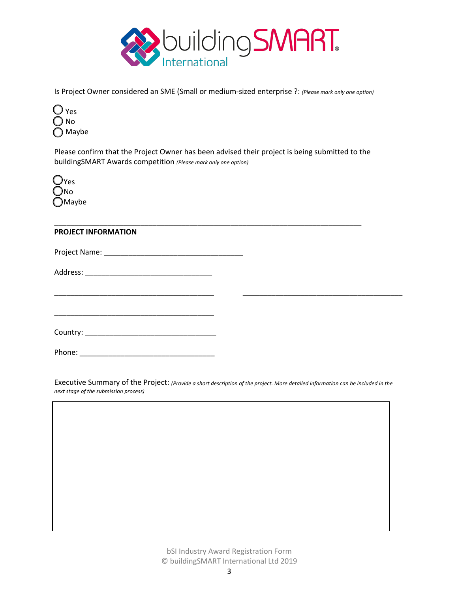

Is Project Owner considered an SME (Small or medium-sized enterprise ?: *(Please mark only one option)*



Please confirm that the Project Owner has been advised their project is being submitted to the buildingSMART Awards competition *(Please mark only one option)*

\_\_\_\_\_\_\_\_\_\_\_\_\_\_\_\_\_\_\_\_\_\_\_\_\_\_\_\_\_\_\_\_\_\_\_\_\_\_\_\_\_\_\_\_\_\_\_\_\_\_\_\_\_\_\_\_\_\_\_\_\_\_\_\_\_\_\_\_\_\_\_\_\_\_\_



## **PROJECT INFORMATION**

Project Name: \_\_\_\_\_\_\_\_\_\_\_\_\_\_\_\_\_\_\_\_\_\_\_\_\_\_\_\_\_\_\_\_\_\_

Address: \_\_\_\_\_\_\_\_\_\_\_\_\_\_\_\_\_\_\_\_\_\_\_\_\_\_\_\_\_\_\_

\_\_\_\_\_\_\_\_\_\_\_\_\_\_\_\_\_\_\_\_\_\_\_\_\_\_\_\_\_\_\_\_\_\_\_\_\_\_\_

Phone: \_\_\_\_\_\_\_\_\_\_\_\_\_\_\_\_\_\_\_\_\_\_\_\_\_\_\_\_\_\_\_\_\_

Executive Summary of the Project: *(Provide a short description of the project. More detailed information can be included in the next stage of the submission process)*

\_\_\_\_\_\_\_\_\_\_\_\_\_\_\_\_\_\_\_\_\_\_\_\_\_\_\_\_\_\_\_\_\_\_\_\_\_\_\_ \_\_\_\_\_\_\_\_\_\_\_\_\_\_\_\_\_\_\_\_\_\_\_\_\_\_\_\_\_\_\_\_\_\_\_\_\_\_\_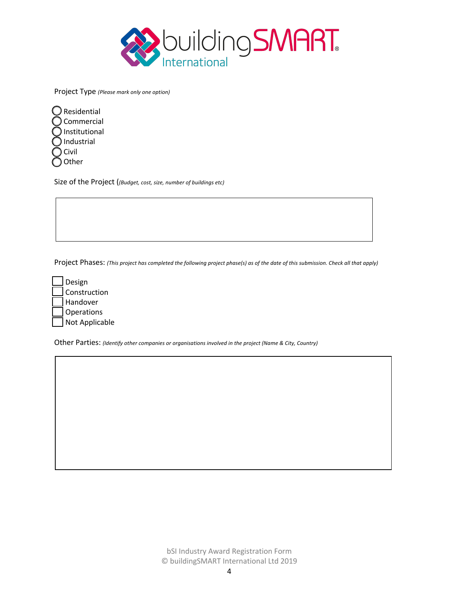

Project Type *(Please mark only one option)*

| Residential   |
|---------------|
| Commercial    |
| Institutional |
| Industrial    |
| Civil         |
| Other         |

Size of the Project (*(Budget, cost, size, number of buildings etc)*

Project Phases: *(This project has completed the following project phase(s) as of the date of this submission. Check all that apply)*

| Design         |
|----------------|
| Construction   |
| Handover       |
| Operations     |
| Not Applicable |

Other Parties: *(Identify other companies or organisations involved in the project (Name & City, Country)*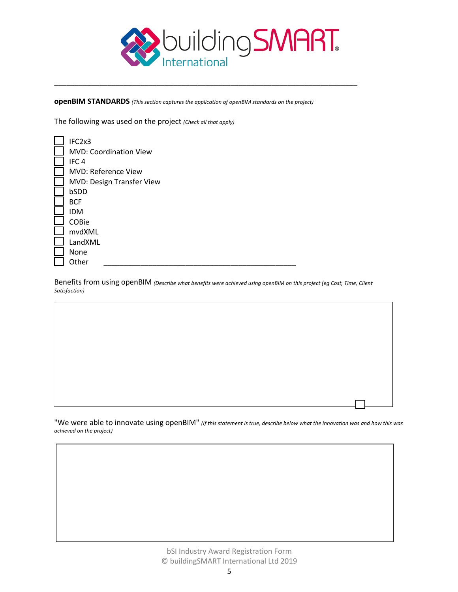

**openBIM STANDARDS** *(This section captures the application of openBIM standards on the project)*

\_\_\_\_\_\_\_\_\_\_\_\_\_\_\_\_\_\_\_\_\_\_\_\_\_\_\_\_\_\_\_\_\_\_\_\_\_\_\_\_\_\_\_\_\_\_\_\_\_\_\_\_\_\_\_\_\_\_\_\_\_\_\_\_\_\_\_\_\_\_\_\_\_\_

The following was used on the project *(Check all that apply)*

| IFC <sub>2x</sub> 3           |
|-------------------------------|
| <b>MVD: Coordination View</b> |
| IFC <sub>4</sub>              |
| MVD: Reference View           |
| MVD: Design Transfer View     |
| bSDD                          |
| <b>BCF</b>                    |
| <b>IDM</b>                    |
| COBie                         |
| mvdXML                        |
| LandXML                       |
| None                          |
| Other                         |

Benefits from using openBIM *(Describe what benefits were achieved using openBIM on this project (eg Cost, Time, Client Satisfaction)*

"We were able to innovate using openBIM" *(If this statement is true, describe below what the innovation was and how this was achieved on the project)*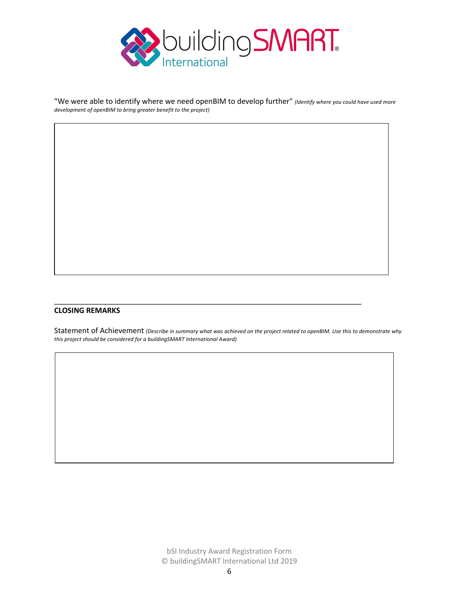

"We were able to identify where we need openBIM to develop further" *(Identify where you could have used more development of openBIM to bring greater benefit to the project)*

## **CLOSING REMARKS**

Statement of Achievement *(Describe in summary what was achieved on the project related to openBIM. Use this to demonstrate why this project should be considered for a buildingSMART International Award)*

\_\_\_\_\_\_\_\_\_\_\_\_\_\_\_\_\_\_\_\_\_\_\_\_\_\_\_\_\_\_\_\_\_\_\_\_\_\_\_\_\_\_\_\_\_\_\_\_\_\_\_\_\_\_\_\_\_\_\_\_\_\_\_\_\_\_\_\_\_\_\_\_\_\_\_